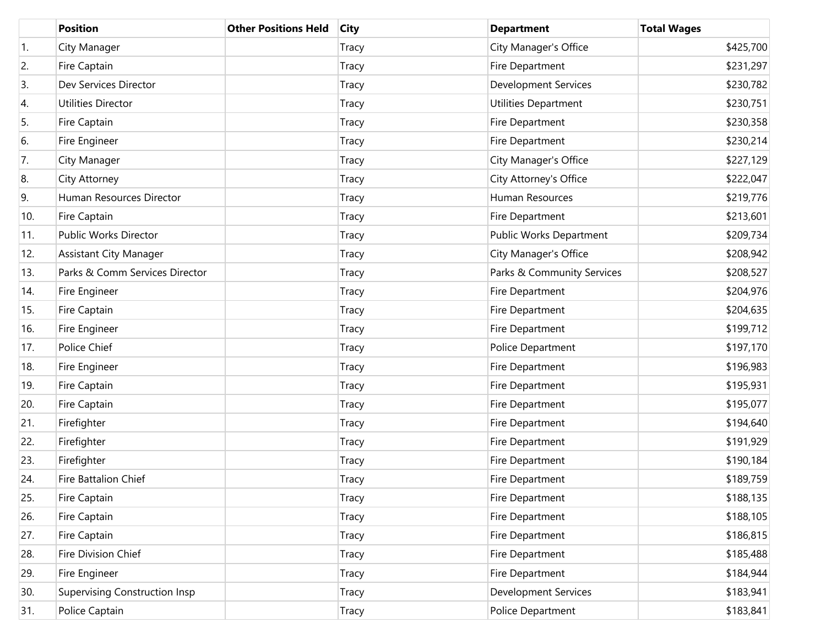|                  | <b>Position</b>                      | <b>Other Positions Held</b> | <b>City</b> | <b>Department</b>           | <b>Total Wages</b> |
|------------------|--------------------------------------|-----------------------------|-------------|-----------------------------|--------------------|
| $\overline{1}$ . | City Manager                         |                             | Tracy       | City Manager's Office       | \$425,700          |
| 2.               | Fire Captain                         |                             | Tracy       | Fire Department             | \$231,297          |
| 3.               | Dev Services Director                |                             | Tracy       | <b>Development Services</b> | \$230,782          |
| 4.               | Utilities Director                   |                             | Tracy       | Utilities Department        | \$230,751          |
| 5.               | Fire Captain                         |                             | Tracy       | Fire Department             | \$230,358          |
| 6.               | Fire Engineer                        |                             | Tracy       | Fire Department             | \$230,214          |
| 7.               | City Manager                         |                             | Tracy       | City Manager's Office       | \$227,129          |
| 8.               | City Attorney                        |                             | Tracy       | City Attorney's Office      | \$222,047          |
| 9.               | Human Resources Director             |                             | Tracy       | Human Resources             | \$219,776          |
| 10.              | Fire Captain                         |                             | Tracy       | Fire Department             | \$213,601          |
| 11.              | <b>Public Works Director</b>         |                             | Tracy       | Public Works Department     | \$209,734          |
| 12.              | <b>Assistant City Manager</b>        |                             | Tracy       | City Manager's Office       | \$208,942          |
| 13.              | Parks & Comm Services Director       |                             | Tracy       | Parks & Community Services  | \$208,527          |
| 14.              | Fire Engineer                        |                             | Tracy       | Fire Department             | \$204,976          |
| 15.              | Fire Captain                         |                             | Tracy       | Fire Department             | \$204,635          |
| 16.              | Fire Engineer                        |                             | Tracy       | Fire Department             | \$199,712          |
| 17.              | Police Chief                         |                             | Tracy       | Police Department           | \$197,170          |
| 18.              | Fire Engineer                        |                             | Tracy       | Fire Department             | \$196,983          |
| 19.              | Fire Captain                         |                             | Tracy       | Fire Department             | \$195,931          |
| 20.              | Fire Captain                         |                             | Tracy       | Fire Department             | \$195,077          |
| 21.              | Firefighter                          |                             | Tracy       | Fire Department             | \$194,640          |
| 22.              | Firefighter                          |                             | Tracy       | Fire Department             | \$191,929          |
| 23.              | Firefighter                          |                             | Tracy       | Fire Department             | \$190,184          |
| 24.              | <b>Fire Battalion Chief</b>          |                             | Tracy       | Fire Department             | \$189,759          |
| 25.              | Fire Captain                         |                             | Tracy       | Fire Department             | \$188,135          |
| 26.              | Fire Captain                         |                             | Tracy       | Fire Department             | \$188,105          |
| 27.              | Fire Captain                         |                             | Tracy       | Fire Department             | \$186,815          |
| 28.              | Fire Division Chief                  |                             | Tracy       | Fire Department             | \$185,488          |
| 29.              | Fire Engineer                        |                             | Tracy       | Fire Department             | \$184,944          |
| 30.              | <b>Supervising Construction Insp</b> |                             | Tracy       | <b>Development Services</b> | \$183,941          |
| 31.              | Police Captain                       |                             | Tracy       | Police Department           | \$183,841          |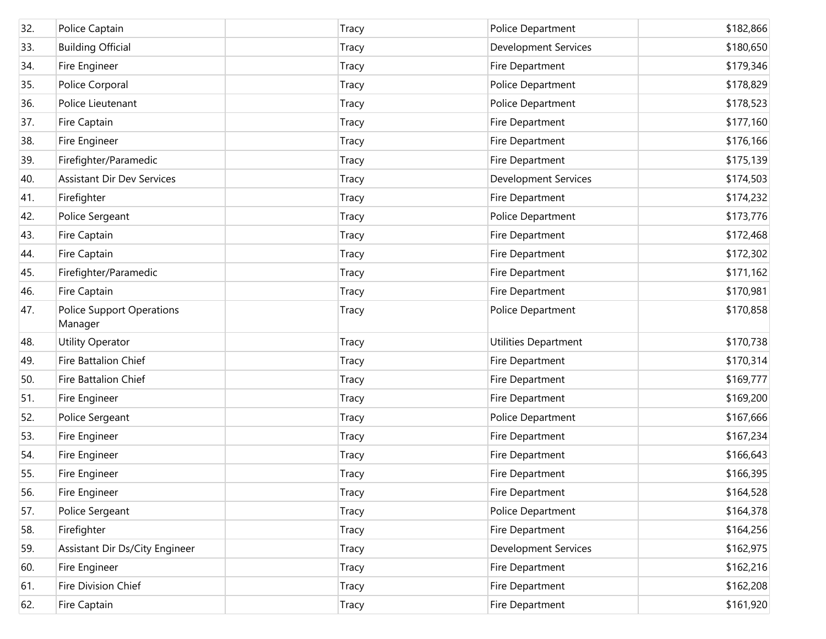| 32. | Police Captain                              | Tracy        | Police Department           | \$182,866 |
|-----|---------------------------------------------|--------------|-----------------------------|-----------|
| 33. | <b>Building Official</b>                    | Tracy        | <b>Development Services</b> | \$180,650 |
| 34. | Fire Engineer                               | <b>Tracy</b> | Fire Department             | \$179,346 |
| 35. | Police Corporal                             | <b>Tracy</b> | Police Department           | \$178,829 |
| 36. | Police Lieutenant                           | <b>Tracy</b> | Police Department           | \$178,523 |
| 37. | Fire Captain                                | <b>Tracy</b> | Fire Department             | \$177,160 |
| 38. | Fire Engineer                               | <b>Tracy</b> | Fire Department             | \$176,166 |
| 39. | Firefighter/Paramedic                       | <b>Tracy</b> | Fire Department             | \$175,139 |
| 40. | <b>Assistant Dir Dev Services</b>           | <b>Tracy</b> | <b>Development Services</b> | \$174,503 |
| 41. | Firefighter                                 | <b>Tracy</b> | Fire Department             | \$174,232 |
| 42. | Police Sergeant                             | <b>Tracy</b> | Police Department           | \$173,776 |
| 43. | Fire Captain                                | <b>Tracy</b> | Fire Department             | \$172,468 |
| 44. | Fire Captain                                | <b>Tracy</b> | Fire Department             | \$172,302 |
| 45. | Firefighter/Paramedic                       | <b>Tracy</b> | Fire Department             | \$171,162 |
| 46. | Fire Captain                                | <b>Tracy</b> | Fire Department             | \$170,981 |
| 47. | <b>Police Support Operations</b><br>Manager | <b>Tracy</b> | Police Department           | \$170,858 |
| 48. | <b>Utility Operator</b>                     | <b>Tracy</b> | Utilities Department        | \$170,738 |
| 49. | Fire Battalion Chief                        | <b>Tracy</b> | Fire Department             | \$170,314 |
| 50. | Fire Battalion Chief                        | <b>Tracy</b> | Fire Department             | \$169,777 |
| 51. | Fire Engineer                               | <b>Tracy</b> | Fire Department             | \$169,200 |
| 52. | Police Sergeant                             | <b>Tracy</b> | Police Department           | \$167,666 |
| 53. | Fire Engineer                               | <b>Tracy</b> | Fire Department             | \$167,234 |
| 54. | Fire Engineer                               | Tracy        | Fire Department             | \$166,643 |
| 55. | Fire Engineer                               | <b>Tracy</b> | Fire Department             | \$166,395 |
| 56. | Fire Engineer                               | <b>Tracy</b> | Fire Department             | \$164,528 |
| 57. | Police Sergeant                             | Tracy        | Police Department           | \$164,378 |
| 58. | Firefighter                                 | Tracy        | Fire Department             | \$164,256 |
| 59. | Assistant Dir Ds/City Engineer              | Tracy        | <b>Development Services</b> | \$162,975 |
| 60. | Fire Engineer                               | Tracy        | Fire Department             | \$162,216 |
| 61. | Fire Division Chief                         | Tracy        | Fire Department             | \$162,208 |
| 62. | Fire Captain                                | Tracy        | Fire Department             | \$161,920 |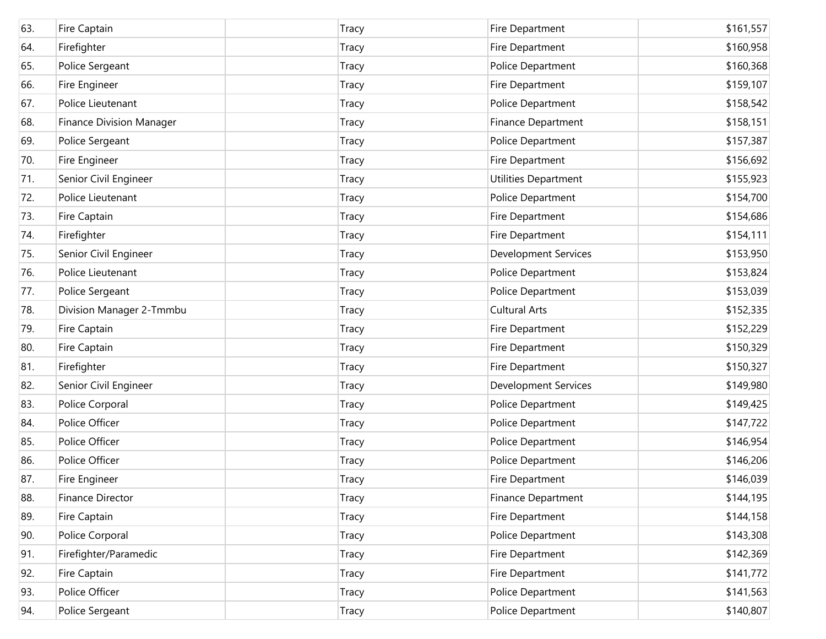| 63. | Fire Captain                    | Tracy        | Fire Department             | \$161,557 |
|-----|---------------------------------|--------------|-----------------------------|-----------|
| 64. | Firefighter                     | Tracy        | Fire Department             | \$160,958 |
| 65. | Police Sergeant                 | <b>Tracy</b> | Police Department           | \$160,368 |
| 66. | Fire Engineer                   | <b>Tracy</b> | Fire Department             | \$159,107 |
| 67. | Police Lieutenant               | <b>Tracy</b> | Police Department           | \$158,542 |
| 68. | <b>Finance Division Manager</b> | Tracy        | Finance Department          | \$158,151 |
| 69. | Police Sergeant                 | <b>Tracy</b> | Police Department           | \$157,387 |
| 70. | Fire Engineer                   | Tracy        | Fire Department             | \$156,692 |
| 71. | Senior Civil Engineer           | <b>Tracy</b> | Utilities Department        | \$155,923 |
| 72. | Police Lieutenant               | Tracy        | Police Department           | \$154,700 |
| 73. | Fire Captain                    | <b>Tracy</b> | Fire Department             | \$154,686 |
| 74. | Firefighter                     | <b>Tracy</b> | Fire Department             | \$154,111 |
| 75. | Senior Civil Engineer           | <b>Tracy</b> | <b>Development Services</b> | \$153,950 |
| 76. | Police Lieutenant               | <b>Tracy</b> | Police Department           | \$153,824 |
| 77. | Police Sergeant                 | <b>Tracy</b> | Police Department           | \$153,039 |
| 78. | Division Manager 2-Tmmbu        | Tracy        | <b>Cultural Arts</b>        | \$152,335 |
| 79. | Fire Captain                    | <b>Tracy</b> | Fire Department             | \$152,229 |
| 80. | Fire Captain                    | Tracy        | Fire Department             | \$150,329 |
| 81. | Firefighter                     | <b>Tracy</b> | Fire Department             | \$150,327 |
| 82. | Senior Civil Engineer           | <b>Tracy</b> | <b>Development Services</b> | \$149,980 |
| 83. | Police Corporal                 | <b>Tracy</b> | Police Department           | \$149,425 |
| 84. | Police Officer                  | <b>Tracy</b> | Police Department           | \$147,722 |
| 85. | Police Officer                  | Tracy        | Police Department           | \$146,954 |
| 86. | Police Officer                  | <b>Tracy</b> | Police Department           | \$146,206 |
| 87. | Fire Engineer                   | <b>Tracy</b> | Fire Department             | \$146,039 |
| 88. | Finance Director                | Tracy        | Finance Department          | \$144,195 |
| 89. | Fire Captain                    | <b>Tracy</b> | Fire Department             | \$144,158 |
| 90. | Police Corporal                 | <b>Tracy</b> | Police Department           | \$143,308 |
| 91. | Firefighter/Paramedic           | <b>Tracy</b> | Fire Department             | \$142,369 |
| 92. | Fire Captain                    | <b>Tracy</b> | Fire Department             | \$141,772 |
| 93. | Police Officer                  | <b>Tracy</b> | Police Department           | \$141,563 |
| 94. | Police Sergeant                 | <b>Tracy</b> | Police Department           | \$140,807 |